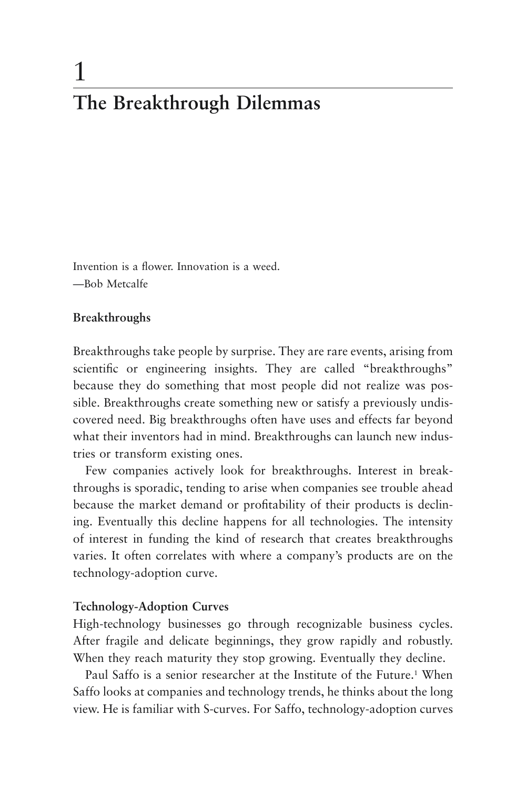# **[The Breakthrough Dilemmas](#page--1-0)**

Invention is a flower. Innovation is a weed. —Bob Metcalfe

# **Breakthroughs**

1

Breakthroughs take people by surprise. They are rare events, arising from scientific or engineering insights. They are called "breakthroughs" because they do something that most people did not realize was possible. Breakthroughs create something new or satisfy a previously undiscovered need. Big breakthroughs often have uses and effects far beyond what their inventors had in mind. Breakthroughs can launch new industries or transform existing ones.

Few companies actively look for breakthroughs. Interest in breakthroughs is sporadic, tending to arise when companies see trouble ahead because the market demand or profitability of their products is declining. Eventually this decline happens for all technologies. The intensity of interest in funding the kind of research that creates breakthroughs varies. It often correlates with where a company's products are on the technology-adoption curve.

## **Technology-Adoption Curves**

High-technology businesses go through recognizable business cycles. After fragile and delicate beginnings, they grow rapidly and robustly. When they reach maturity they stop growing. Eventually they decline.

Paul Saffo is a senior researcher at the Institute of the Future.<sup>1</sup> When Saffo looks at companies and technology trends, he thinks about the long view. He is familiar with S-curves. For Saffo, technology-adoption curves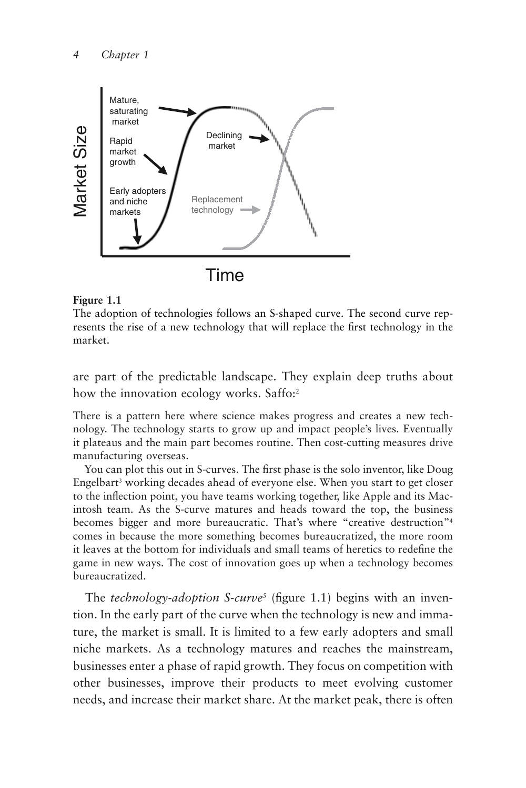

#### **Figure 1.1**

The adoption of technologies follows an S-shaped curve. The second curve represents the rise of a new technology that will replace the first technology in the market.

are part of the predictable landscape. They explain deep truths about how the innovation ecology works. Saffo:<sup>2</sup>

There is a pattern here where science makes progress and creates a new technology. The technology starts to grow up and impact people's lives. Eventually it plateaus and the main part becomes routine. Then cost-cutting measures drive manufacturing overseas.

You can plot this out in S-curves. The first phase is the solo inventor, like Doug Engelbart<sup>3</sup> working decades ahead of everyone else. When you start to get closer to the inflection point, you have teams working together, like Apple and its Macintosh team. As the S-curve matures and heads toward the top, the business becomes bigger and more bureaucratic. That's where "creative destruction"4 comes in because the more something becomes bureaucratized, the more room it leaves at the bottom for individuals and small teams of heretics to redefine the game in new ways. The cost of innovation goes up when a technology becomes bureaucratized.

The *technology-adoption S-curve*<sup>5</sup> (figure 1.1) begins with an invention. In the early part of the curve when the technology is new and immature, the market is small. It is limited to a few early adopters and small niche markets. As a technology matures and reaches the mainstream, businesses enter a phase of rapid growth. They focus on competition with other businesses, improve their products to meet evolving customer needs, and increase their market share. At the market peak, there is often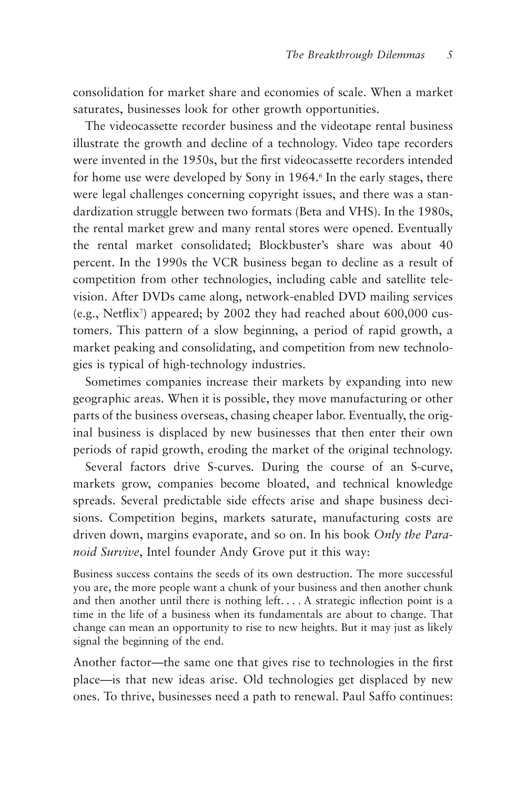consolidation for market share and economies of scale. When a market saturates, businesses look for other growth opportunities.

The videocassette recorder business and the videotape rental business illustrate the growth and decline of a technology. Video tape recorders were invented in the 1950s, but the first videocassette recorders intended for home use were developed by Sony in 1964.<sup>6</sup> In the early stages, there were legal challenges concerning copyright issues, and there was a standardization struggle between two formats (Beta and VHS). In the 1980s, the rental market grew and many rental stores were opened. Eventually the rental market consolidated; Blockbuster's share was about 40 percent. In the 1990s the VCR business began to decline as a result of competition from other technologies, including cable and satellite television. After DVDs came along, network-enabled DVD mailing services (e.g., Netflix7) appeared; by 2002 they had reached about 600,000 customers. This pattern of a slow beginning, a period of rapid growth, a market peaking and consolidating, and competition from new technologies is typical of high-technology industries.

Sometimes companies increase their markets by expanding into new geographic areas. When it is possible, they move manufacturing or other parts of the business overseas, chasing cheaper labor. Eventually, the original business is displaced by new businesses that then enter their own periods of rapid growth, eroding the market of the original technology.

Several factors drive S-curves. During the course of an S-curve, markets grow, companies become bloated, and technical knowledge spreads. Several predictable side effects arise and shape business decisions. Competition begins, markets saturate, manufacturing costs are driven down, margins evaporate, and so on. In his book *Only the Paranoid Survive*, Intel founder Andy Grove put it this way:

Business success contains the seeds of its own destruction. The more successful you are, the more people want a chunk of your business and then another chunk and then another until there is nothing left. . . . A strategic inflection point is a time in the life of a business when its fundamentals are about to change. That change can mean an opportunity to rise to new heights. But it may just as likely signal the beginning of the end.

Another factor—the same one that gives rise to technologies in the first place—is that new ideas arise. Old technologies get displaced by new ones. To thrive, businesses need a path to renewal. Paul Saffo continues: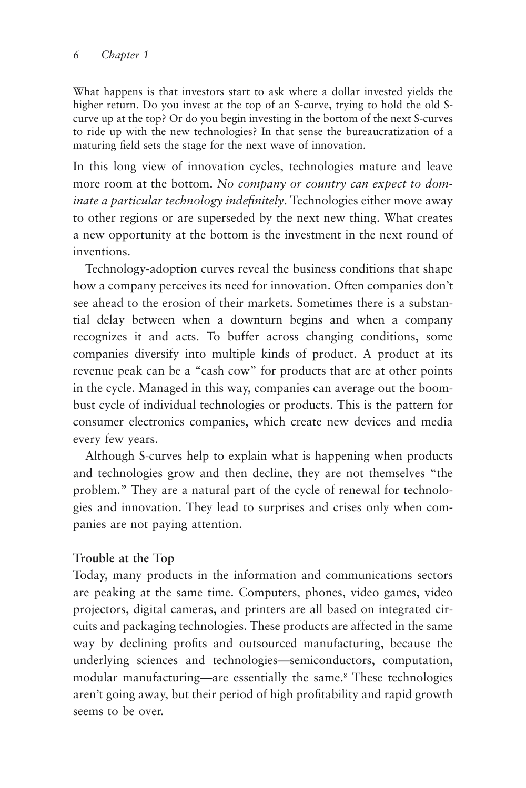What happens is that investors start to ask where a dollar invested yields the higher return. Do you invest at the top of an S-curve, trying to hold the old Scurve up at the top? Or do you begin investing in the bottom of the next S-curves to ride up with the new technologies? In that sense the bureaucratization of a maturing field sets the stage for the next wave of innovation.

In this long view of innovation cycles, technologies mature and leave more room at the bottom. *No company or country can expect to dominate a particular technology indefinitely*. Technologies either move away to other regions or are superseded by the next new thing. What creates a new opportunity at the bottom is the investment in the next round of inventions.

Technology-adoption curves reveal the business conditions that shape how a company perceives its need for innovation. Often companies don't see ahead to the erosion of their markets. Sometimes there is a substantial delay between when a downturn begins and when a company recognizes it and acts. To buffer across changing conditions, some companies diversify into multiple kinds of product. A product at its revenue peak can be a "cash cow" for products that are at other points in the cycle. Managed in this way, companies can average out the boombust cycle of individual technologies or products. This is the pattern for consumer electronics companies, which create new devices and media every few years.

Although S-curves help to explain what is happening when products and technologies grow and then decline, they are not themselves "the problem." They are a natural part of the cycle of renewal for technologies and innovation. They lead to surprises and crises only when companies are not paying attention.

# **Trouble at the Top**

Today, many products in the information and communications sectors are peaking at the same time. Computers, phones, video games, video projectors, digital cameras, and printers are all based on integrated circuits and packaging technologies. These products are affected in the same way by declining profits and outsourced manufacturing, because the underlying sciences and technologies—semiconductors, computation, modular manufacturing—are essentially the same.8 These technologies aren't going away, but their period of high profitability and rapid growth seems to be over.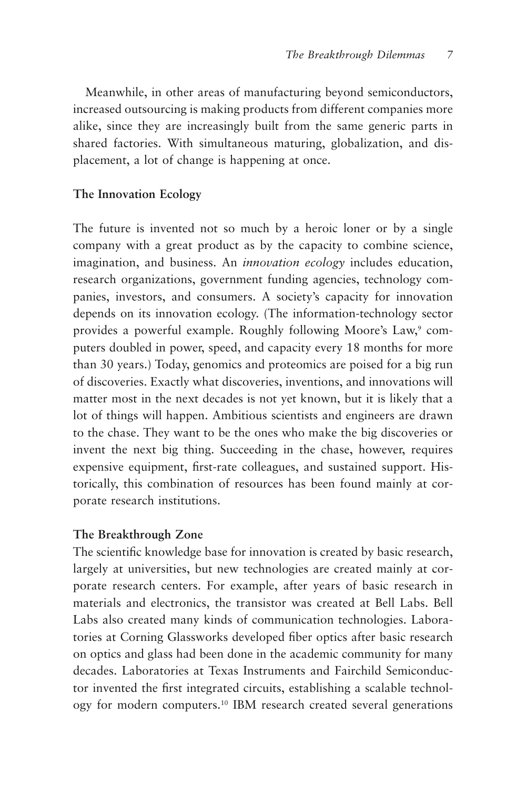Meanwhile, in other areas of manufacturing beyond semiconductors, increased outsourcing is making products from different companies more alike, since they are increasingly built from the same generic parts in shared factories. With simultaneous maturing, globalization, and displacement, a lot of change is happening at once.

# **The Innovation Ecology**

The future is invented not so much by a heroic loner or by a single company with a great product as by the capacity to combine science, imagination, and business. An *innovation ecology* includes education, research organizations, government funding agencies, technology companies, investors, and consumers. A society's capacity for innovation depends on its innovation ecology. (The information-technology sector provides a powerful example. Roughly following Moore's Law,<sup>9</sup> computers doubled in power, speed, and capacity every 18 months for more than 30 years.) Today, genomics and proteomics are poised for a big run of discoveries. Exactly what discoveries, inventions, and innovations will matter most in the next decades is not yet known, but it is likely that a lot of things will happen. Ambitious scientists and engineers are drawn to the chase. They want to be the ones who make the big discoveries or invent the next big thing. Succeeding in the chase, however, requires expensive equipment, first-rate colleagues, and sustained support. Historically, this combination of resources has been found mainly at corporate research institutions.

## **The Breakthrough Zone**

The scientific knowledge base for innovation is created by basic research, largely at universities, but new technologies are created mainly at corporate research centers. For example, after years of basic research in materials and electronics, the transistor was created at Bell Labs. Bell Labs also created many kinds of communication technologies. Laboratories at Corning Glassworks developed fiber optics after basic research on optics and glass had been done in the academic community for many decades. Laboratories at Texas Instruments and Fairchild Semiconductor invented the first integrated circuits, establishing a scalable technology for modern computers.10 IBM research created several generations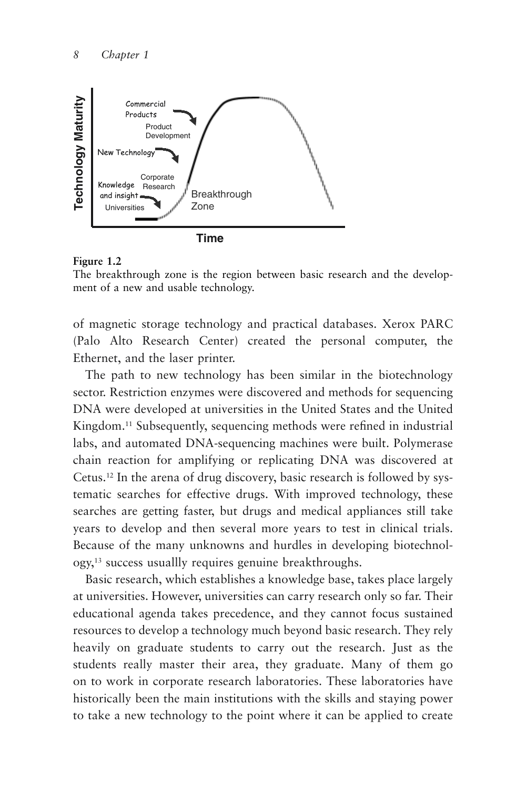

#### **Figure 1.2**

The breakthrough zone is the region between basic research and the development of a new and usable technology.

of magnetic storage technology and practical databases. Xerox PARC (Palo Alto Research Center) created the personal computer, the Ethernet, and the laser printer.

The path to new technology has been similar in the biotechnology sector. Restriction enzymes were discovered and methods for sequencing DNA were developed at universities in the United States and the United Kingdom.11 Subsequently, sequencing methods were refined in industrial labs, and automated DNA-sequencing machines were built. Polymerase chain reaction for amplifying or replicating DNA was discovered at Cetus.12 In the arena of drug discovery, basic research is followed by systematic searches for effective drugs. With improved technology, these searches are getting faster, but drugs and medical appliances still take years to develop and then several more years to test in clinical trials. Because of the many unknowns and hurdles in developing biotechnology,13 success usuallly requires genuine breakthroughs.

Basic research, which establishes a knowledge base, takes place largely at universities. However, universities can carry research only so far. Their educational agenda takes precedence, and they cannot focus sustained resources to develop a technology much beyond basic research. They rely heavily on graduate students to carry out the research. Just as the students really master their area, they graduate. Many of them go on to work in corporate research laboratories. These laboratories have historically been the main institutions with the skills and staying power to take a new technology to the point where it can be applied to create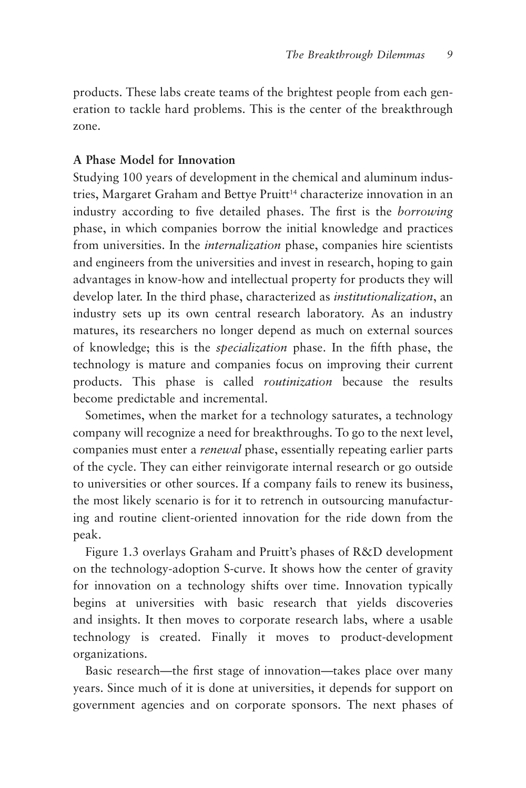products. These labs create teams of the brightest people from each generation to tackle hard problems. This is the center of the breakthrough zone.

# **A Phase Model for Innovation**

Studying 100 years of development in the chemical and aluminum industries, Margaret Graham and Bettye Pruitt<sup>14</sup> characterize innovation in an industry according to five detailed phases. The first is the *borrowing* phase, in which companies borrow the initial knowledge and practices from universities. In the *internalization* phase, companies hire scientists and engineers from the universities and invest in research, hoping to gain advantages in know-how and intellectual property for products they will develop later. In the third phase, characterized as *institutionalization*, an industry sets up its own central research laboratory. As an industry matures, its researchers no longer depend as much on external sources of knowledge; this is the *specialization* phase. In the fifth phase, the technology is mature and companies focus on improving their current products. This phase is called *routinization* because the results become predictable and incremental.

Sometimes, when the market for a technology saturates, a technology company will recognize a need for breakthroughs. To go to the next level, companies must enter a *renewal* phase, essentially repeating earlier parts of the cycle. They can either reinvigorate internal research or go outside to universities or other sources. If a company fails to renew its business, the most likely scenario is for it to retrench in outsourcing manufacturing and routine client-oriented innovation for the ride down from the peak.

Figure 1.3 overlays Graham and Pruitt's phases of R&D development on the technology-adoption S-curve. It shows how the center of gravity for innovation on a technology shifts over time. Innovation typically begins at universities with basic research that yields discoveries and insights. It then moves to corporate research labs, where a usable technology is created. Finally it moves to product-development organizations.

Basic research—the first stage of innovation—takes place over many years. Since much of it is done at universities, it depends for support on government agencies and on corporate sponsors. The next phases of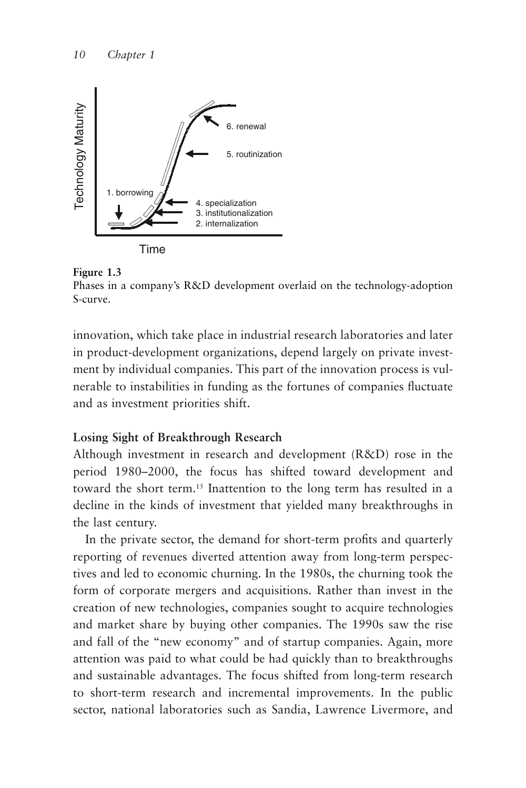

#### **Figure 1.3**

Phases in a company's R&D development overlaid on the technology-adoption S-curve.

innovation, which take place in industrial research laboratories and later in product-development organizations, depend largely on private investment by individual companies. This part of the innovation process is vulnerable to instabilities in funding as the fortunes of companies fluctuate and as investment priorities shift.

# **Losing Sight of Breakthrough Research**

Although investment in research and development (R&D) rose in the period 1980–2000, the focus has shifted toward development and toward the short term.15 Inattention to the long term has resulted in a decline in the kinds of investment that yielded many breakthroughs in the last century.

In the private sector, the demand for short-term profits and quarterly reporting of revenues diverted attention away from long-term perspectives and led to economic churning. In the 1980s, the churning took the form of corporate mergers and acquisitions. Rather than invest in the creation of new technologies, companies sought to acquire technologies and market share by buying other companies. The 1990s saw the rise and fall of the "new economy" and of startup companies. Again, more attention was paid to what could be had quickly than to breakthroughs and sustainable advantages. The focus shifted from long-term research to short-term research and incremental improvements. In the public sector, national laboratories such as Sandia, Lawrence Livermore, and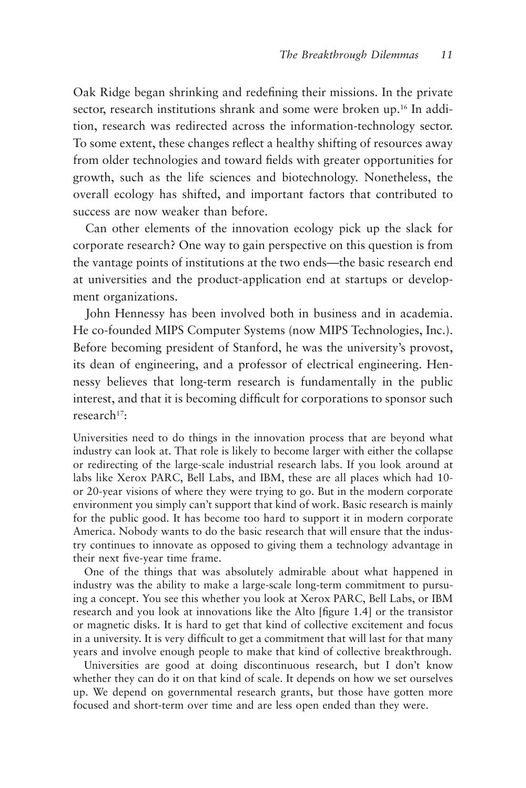Oak Ridge began shrinking and redefining their missions. In the private sector, research institutions shrank and some were broken up.<sup>16</sup> In addition, research was redirected across the information-technology sector. To some extent, these changes reflect a healthy shifting of resources away from older technologies and toward fields with greater opportunities for growth, such as the life sciences and biotechnology. Nonetheless, the overall ecology has shifted, and important factors that contributed to success are now weaker than before.

Can other elements of the innovation ecology pick up the slack for corporate research? One way to gain perspective on this question is from the vantage points of institutions at the two ends—the basic research end at universities and the product-application end at startups or development organizations.

John Hennessy has been involved both in business and in academia. He co-founded MIPS Computer Systems (now MIPS Technologies, Inc.). Before becoming president of Stanford, he was the university's provost, its dean of engineering, and a professor of electrical engineering. Hennessy believes that long-term research is fundamentally in the public interest, and that it is becoming difficult for corporations to sponsor such research17:

Universities need to do things in the innovation process that are beyond what industry can look at. That role is likely to become larger with either the collapse or redirecting of the large-scale industrial research labs. If you look around at labs like Xerox PARC, Bell Labs, and IBM, these are all places which had 10 or 20-year visions of where they were trying to go. But in the modern corporate environment you simply can't support that kind of work. Basic research is mainly for the public good. It has become too hard to support it in modern corporate America. Nobody wants to do the basic research that will ensure that the industry continues to innovate as opposed to giving them a technology advantage in their next five-year time frame.

One of the things that was absolutely admirable about what happened in industry was the ability to make a large-scale long-term commitment to pursuing a concept. You see this whether you look at Xerox PARC, Bell Labs, or IBM research and you look at innovations like the Alto [figure 1.4] or the transistor or magnetic disks. It is hard to get that kind of collective excitement and focus in a university. It is very difficult to get a commitment that will last for that many years and involve enough people to make that kind of collective breakthrough.

Universities are good at doing discontinuous research, but I don't know whether they can do it on that kind of scale. It depends on how we set ourselves up. We depend on governmental research grants, but those have gotten more focused and short-term over time and are less open ended than they were.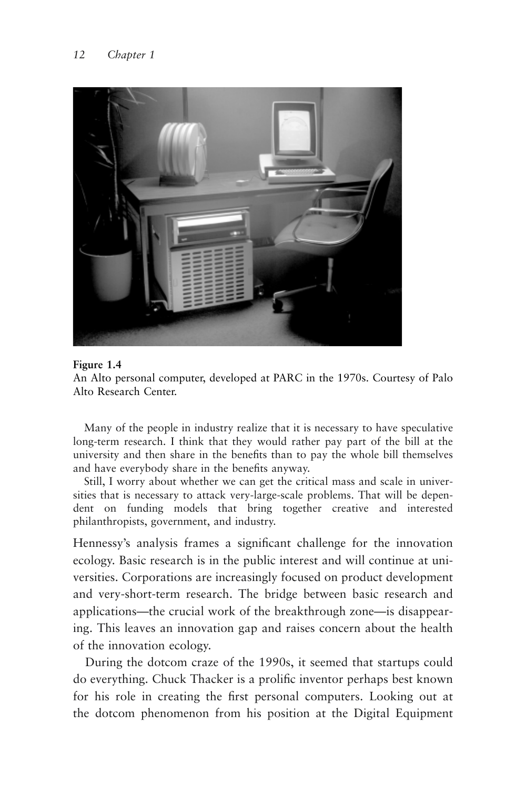

#### **Figure 1.4**

An Alto personal computer, developed at PARC in the 1970s. Courtesy of Palo Alto Research Center.

Many of the people in industry realize that it is necessary to have speculative long-term research. I think that they would rather pay part of the bill at the university and then share in the benefits than to pay the whole bill themselves and have everybody share in the benefits anyway.

Still, I worry about whether we can get the critical mass and scale in universities that is necessary to attack very-large-scale problems. That will be dependent on funding models that bring together creative and interested philanthropists, government, and industry.

Hennessy's analysis frames a significant challenge for the innovation ecology. Basic research is in the public interest and will continue at universities. Corporations are increasingly focused on product development and very-short-term research. The bridge between basic research and applications—the crucial work of the breakthrough zone—is disappearing. This leaves an innovation gap and raises concern about the health of the innovation ecology.

During the dotcom craze of the 1990s, it seemed that startups could do everything. Chuck Thacker is a prolific inventor perhaps best known for his role in creating the first personal computers. Looking out at the dotcom phenomenon from his position at the Digital Equipment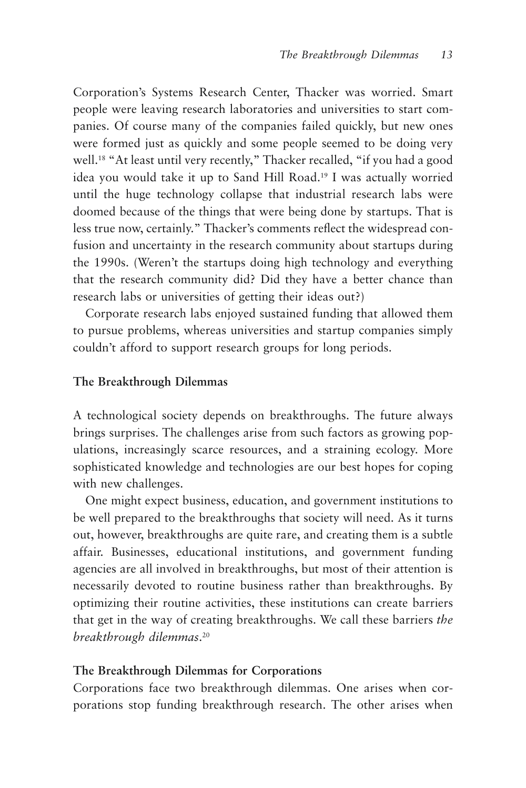Corporation's Systems Research Center, Thacker was worried. Smart people were leaving research laboratories and universities to start companies. Of course many of the companies failed quickly, but new ones were formed just as quickly and some people seemed to be doing very well.18 "At least until very recently," Thacker recalled, "if you had a good idea you would take it up to Sand Hill Road.19 I was actually worried until the huge technology collapse that industrial research labs were doomed because of the things that were being done by startups. That is less true now, certainly." Thacker's comments reflect the widespread confusion and uncertainty in the research community about startups during the 1990s. (Weren't the startups doing high technology and everything that the research community did? Did they have a better chance than research labs or universities of getting their ideas out?)

Corporate research labs enjoyed sustained funding that allowed them to pursue problems, whereas universities and startup companies simply couldn't afford to support research groups for long periods.

## **The Breakthrough Dilemmas**

A technological society depends on breakthroughs. The future always brings surprises. The challenges arise from such factors as growing populations, increasingly scarce resources, and a straining ecology. More sophisticated knowledge and technologies are our best hopes for coping with new challenges.

One might expect business, education, and government institutions to be well prepared to the breakthroughs that society will need. As it turns out, however, breakthroughs are quite rare, and creating them is a subtle affair. Businesses, educational institutions, and government funding agencies are all involved in breakthroughs, but most of their attention is necessarily devoted to routine business rather than breakthroughs. By optimizing their routine activities, these institutions can create barriers that get in the way of creating breakthroughs. We call these barriers *the breakthrough dilemmas*. 20

#### **The Breakthrough Dilemmas for Corporations**

Corporations face two breakthrough dilemmas. One arises when corporations stop funding breakthrough research. The other arises when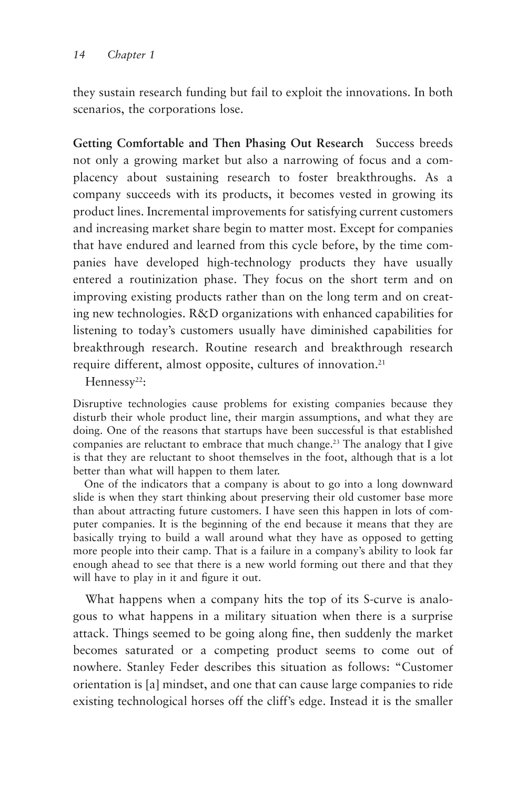they sustain research funding but fail to exploit the innovations. In both scenarios, the corporations lose.

**Getting Comfortable and Then Phasing Out Research** Success breeds not only a growing market but also a narrowing of focus and a complacency about sustaining research to foster breakthroughs. As a company succeeds with its products, it becomes vested in growing its product lines. Incremental improvements for satisfying current customers and increasing market share begin to matter most. Except for companies that have endured and learned from this cycle before, by the time companies have developed high-technology products they have usually entered a routinization phase. They focus on the short term and on improving existing products rather than on the long term and on creating new technologies. R&D organizations with enhanced capabilities for listening to today's customers usually have diminished capabilities for breakthrough research. Routine research and breakthrough research require different, almost opposite, cultures of innovation.<sup>21</sup>

Hennessy<sup>22</sup>:

Disruptive technologies cause problems for existing companies because they disturb their whole product line, their margin assumptions, and what they are doing. One of the reasons that startups have been successful is that established companies are reluctant to embrace that much change.<sup>23</sup> The analogy that I give is that they are reluctant to shoot themselves in the foot, although that is a lot better than what will happen to them later.

One of the indicators that a company is about to go into a long downward slide is when they start thinking about preserving their old customer base more than about attracting future customers. I have seen this happen in lots of computer companies. It is the beginning of the end because it means that they are basically trying to build a wall around what they have as opposed to getting more people into their camp. That is a failure in a company's ability to look far enough ahead to see that there is a new world forming out there and that they will have to play in it and figure it out.

What happens when a company hits the top of its S-curve is analogous to what happens in a military situation when there is a surprise attack. Things seemed to be going along fine, then suddenly the market becomes saturated or a competing product seems to come out of nowhere. Stanley Feder describes this situation as follows: "Customer orientation is [a] mindset, and one that can cause large companies to ride existing technological horses off the cliff's edge. Instead it is the smaller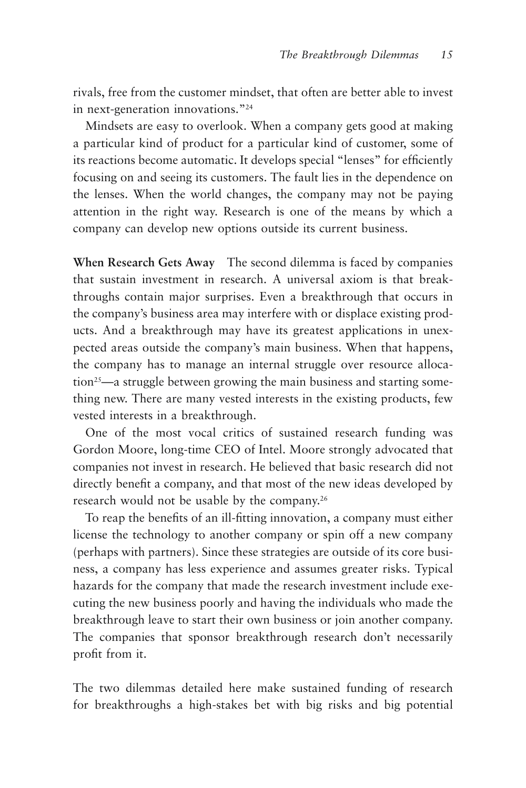rivals, free from the customer mindset, that often are better able to invest in next-generation innovations."24

Mindsets are easy to overlook. When a company gets good at making a particular kind of product for a particular kind of customer, some of its reactions become automatic. It develops special "lenses" for efficiently focusing on and seeing its customers. The fault lies in the dependence on the lenses. When the world changes, the company may not be paying attention in the right way. Research is one of the means by which a company can develop new options outside its current business.

**When Research Gets Away** The second dilemma is faced by companies that sustain investment in research. A universal axiom is that breakthroughs contain major surprises. Even a breakthrough that occurs in the company's business area may interfere with or displace existing products. And a breakthrough may have its greatest applications in unexpected areas outside the company's main business. When that happens, the company has to manage an internal struggle over resource allocation25—a struggle between growing the main business and starting something new. There are many vested interests in the existing products, few vested interests in a breakthrough.

One of the most vocal critics of sustained research funding was Gordon Moore, long-time CEO of Intel. Moore strongly advocated that companies not invest in research. He believed that basic research did not directly benefit a company, and that most of the new ideas developed by research would not be usable by the company.26

To reap the benefits of an ill-fitting innovation, a company must either license the technology to another company or spin off a new company (perhaps with partners). Since these strategies are outside of its core business, a company has less experience and assumes greater risks. Typical hazards for the company that made the research investment include executing the new business poorly and having the individuals who made the breakthrough leave to start their own business or join another company. The companies that sponsor breakthrough research don't necessarily profit from it.

The two dilemmas detailed here make sustained funding of research for breakthroughs a high-stakes bet with big risks and big potential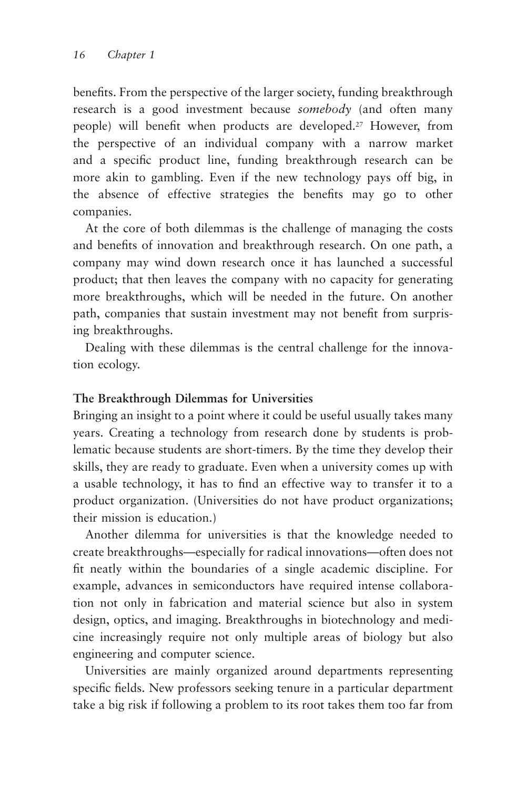benefits. From the perspective of the larger society, funding breakthrough research is a good investment because *somebody* (and often many people) will benefit when products are developed.27 However, from the perspective of an individual company with a narrow market and a specific product line, funding breakthrough research can be more akin to gambling. Even if the new technology pays off big, in the absence of effective strategies the benefits may go to other companies.

At the core of both dilemmas is the challenge of managing the costs and benefits of innovation and breakthrough research. On one path, a company may wind down research once it has launched a successful product; that then leaves the company with no capacity for generating more breakthroughs, which will be needed in the future. On another path, companies that sustain investment may not benefit from surprising breakthroughs.

Dealing with these dilemmas is the central challenge for the innovation ecology.

# **The Breakthrough Dilemmas for Universities**

Bringing an insight to a point where it could be useful usually takes many years. Creating a technology from research done by students is problematic because students are short-timers. By the time they develop their skills, they are ready to graduate. Even when a university comes up with a usable technology, it has to find an effective way to transfer it to a product organization. (Universities do not have product organizations; their mission is education.)

Another dilemma for universities is that the knowledge needed to create breakthroughs—especially for radical innovations—often does not fit neatly within the boundaries of a single academic discipline. For example, advances in semiconductors have required intense collaboration not only in fabrication and material science but also in system design, optics, and imaging. Breakthroughs in biotechnology and medicine increasingly require not only multiple areas of biology but also engineering and computer science.

Universities are mainly organized around departments representing specific fields. New professors seeking tenure in a particular department take a big risk if following a problem to its root takes them too far from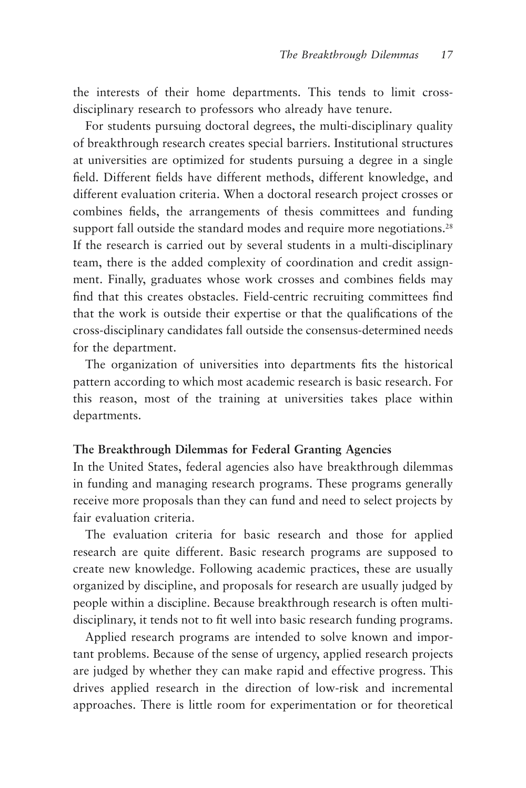the interests of their home departments. This tends to limit crossdisciplinary research to professors who already have tenure.

For students pursuing doctoral degrees, the multi-disciplinary quality of breakthrough research creates special barriers. Institutional structures at universities are optimized for students pursuing a degree in a single field. Different fields have different methods, different knowledge, and different evaluation criteria. When a doctoral research project crosses or combines fields, the arrangements of thesis committees and funding support fall outside the standard modes and require more negotiations.<sup>28</sup> If the research is carried out by several students in a multi-disciplinary team, there is the added complexity of coordination and credit assignment. Finally, graduates whose work crosses and combines fields may find that this creates obstacles. Field-centric recruiting committees find that the work is outside their expertise or that the qualifications of the cross-disciplinary candidates fall outside the consensus-determined needs for the department.

The organization of universities into departments fits the historical pattern according to which most academic research is basic research. For this reason, most of the training at universities takes place within departments.

## **The Breakthrough Dilemmas for Federal Granting Agencies**

In the United States, federal agencies also have breakthrough dilemmas in funding and managing research programs. These programs generally receive more proposals than they can fund and need to select projects by fair evaluation criteria.

The evaluation criteria for basic research and those for applied research are quite different. Basic research programs are supposed to create new knowledge. Following academic practices, these are usually organized by discipline, and proposals for research are usually judged by people within a discipline. Because breakthrough research is often multidisciplinary, it tends not to fit well into basic research funding programs.

Applied research programs are intended to solve known and important problems. Because of the sense of urgency, applied research projects are judged by whether they can make rapid and effective progress. This drives applied research in the direction of low-risk and incremental approaches. There is little room for experimentation or for theoretical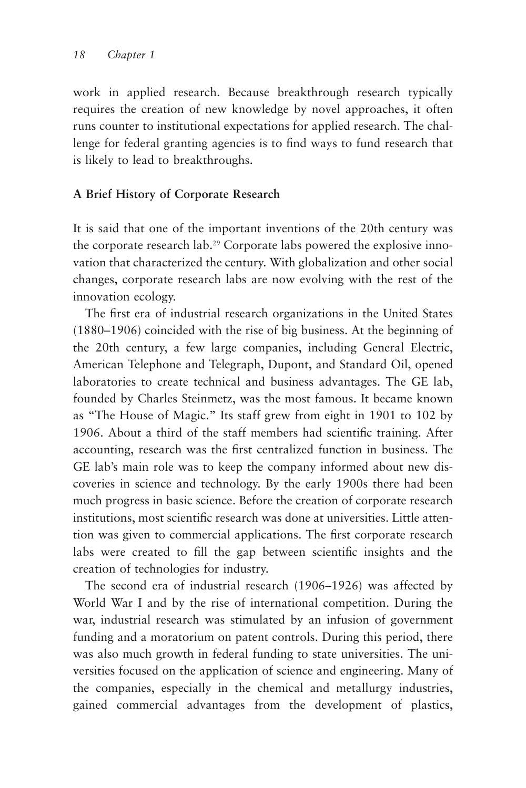work in applied research. Because breakthrough research typically requires the creation of new knowledge by novel approaches, it often runs counter to institutional expectations for applied research. The challenge for federal granting agencies is to find ways to fund research that is likely to lead to breakthroughs.

# **A Brief History of Corporate Research**

It is said that one of the important inventions of the 20th century was the corporate research lab.29 Corporate labs powered the explosive innovation that characterized the century. With globalization and other social changes, corporate research labs are now evolving with the rest of the innovation ecology.

The first era of industrial research organizations in the United States (1880–1906) coincided with the rise of big business. At the beginning of the 20th century, a few large companies, including General Electric, American Telephone and Telegraph, Dupont, and Standard Oil, opened laboratories to create technical and business advantages. The GE lab, founded by Charles Steinmetz, was the most famous. It became known as "The House of Magic." Its staff grew from eight in 1901 to 102 by 1906. About a third of the staff members had scientific training. After accounting, research was the first centralized function in business. The GE lab's main role was to keep the company informed about new discoveries in science and technology. By the early 1900s there had been much progress in basic science. Before the creation of corporate research institutions, most scientific research was done at universities. Little attention was given to commercial applications. The first corporate research labs were created to fill the gap between scientific insights and the creation of technologies for industry.

The second era of industrial research (1906–1926) was affected by World War I and by the rise of international competition. During the war, industrial research was stimulated by an infusion of government funding and a moratorium on patent controls. During this period, there was also much growth in federal funding to state universities. The universities focused on the application of science and engineering. Many of the companies, especially in the chemical and metallurgy industries, gained commercial advantages from the development of plastics,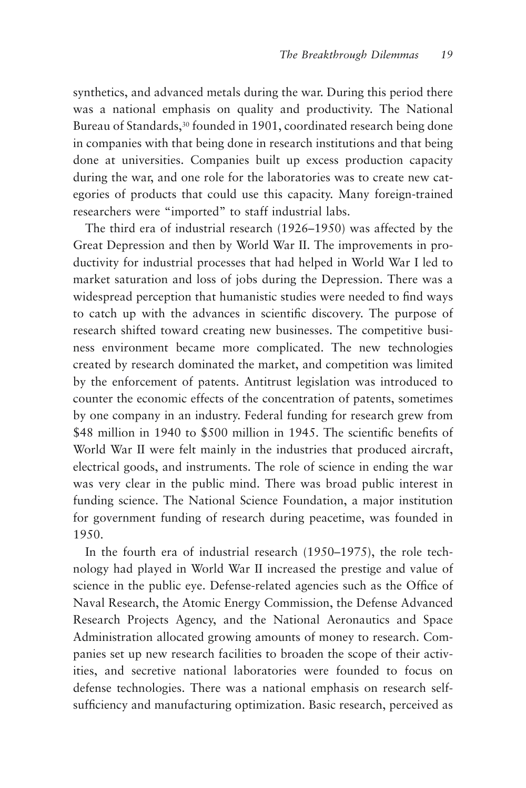synthetics, and advanced metals during the war. During this period there was a national emphasis on quality and productivity. The National Bureau of Standards,<sup>30</sup> founded in 1901, coordinated research being done in companies with that being done in research institutions and that being done at universities. Companies built up excess production capacity during the war, and one role for the laboratories was to create new categories of products that could use this capacity. Many foreign-trained researchers were "imported" to staff industrial labs.

The third era of industrial research (1926–1950) was affected by the Great Depression and then by World War II. The improvements in productivity for industrial processes that had helped in World War I led to market saturation and loss of jobs during the Depression. There was a widespread perception that humanistic studies were needed to find ways to catch up with the advances in scientific discovery. The purpose of research shifted toward creating new businesses. The competitive business environment became more complicated. The new technologies created by research dominated the market, and competition was limited by the enforcement of patents. Antitrust legislation was introduced to counter the economic effects of the concentration of patents, sometimes by one company in an industry. Federal funding for research grew from \$48 million in 1940 to \$500 million in 1945. The scientific benefits of World War II were felt mainly in the industries that produced aircraft, electrical goods, and instruments. The role of science in ending the war was very clear in the public mind. There was broad public interest in funding science. The National Science Foundation, a major institution for government funding of research during peacetime, was founded in 1950.

In the fourth era of industrial research (1950–1975), the role technology had played in World War II increased the prestige and value of science in the public eye. Defense-related agencies such as the Office of Naval Research, the Atomic Energy Commission, the Defense Advanced Research Projects Agency, and the National Aeronautics and Space Administration allocated growing amounts of money to research. Companies set up new research facilities to broaden the scope of their activities, and secretive national laboratories were founded to focus on defense technologies. There was a national emphasis on research selfsufficiency and manufacturing optimization. Basic research, perceived as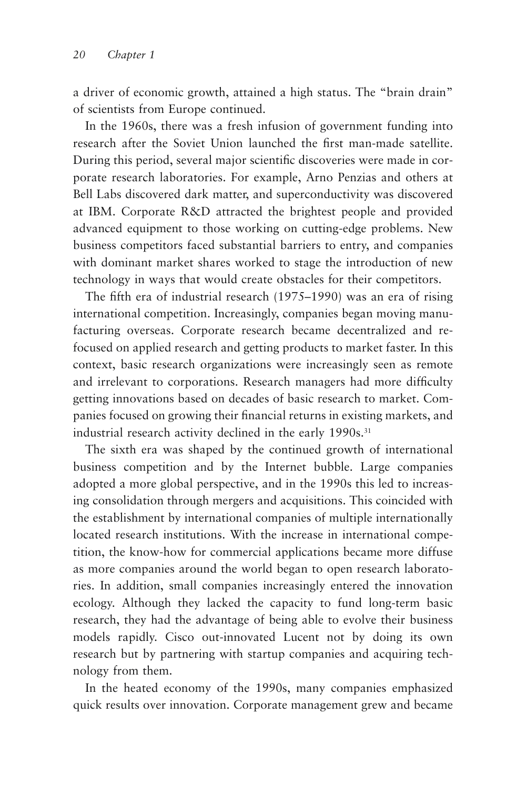a driver of economic growth, attained a high status. The "brain drain" of scientists from Europe continued.

In the 1960s, there was a fresh infusion of government funding into research after the Soviet Union launched the first man-made satellite. During this period, several major scientific discoveries were made in corporate research laboratories. For example, Arno Penzias and others at Bell Labs discovered dark matter, and superconductivity was discovered at IBM. Corporate R&D attracted the brightest people and provided advanced equipment to those working on cutting-edge problems. New business competitors faced substantial barriers to entry, and companies with dominant market shares worked to stage the introduction of new technology in ways that would create obstacles for their competitors.

The fifth era of industrial research (1975–1990) was an era of rising international competition. Increasingly, companies began moving manufacturing overseas. Corporate research became decentralized and refocused on applied research and getting products to market faster. In this context, basic research organizations were increasingly seen as remote and irrelevant to corporations. Research managers had more difficulty getting innovations based on decades of basic research to market. Companies focused on growing their financial returns in existing markets, and industrial research activity declined in the early 1990s.<sup>31</sup>

The sixth era was shaped by the continued growth of international business competition and by the Internet bubble. Large companies adopted a more global perspective, and in the 1990s this led to increasing consolidation through mergers and acquisitions. This coincided with the establishment by international companies of multiple internationally located research institutions. With the increase in international competition, the know-how for commercial applications became more diffuse as more companies around the world began to open research laboratories. In addition, small companies increasingly entered the innovation ecology. Although they lacked the capacity to fund long-term basic research, they had the advantage of being able to evolve their business models rapidly. Cisco out-innovated Lucent not by doing its own research but by partnering with startup companies and acquiring technology from them.

In the heated economy of the 1990s, many companies emphasized quick results over innovation. Corporate management grew and became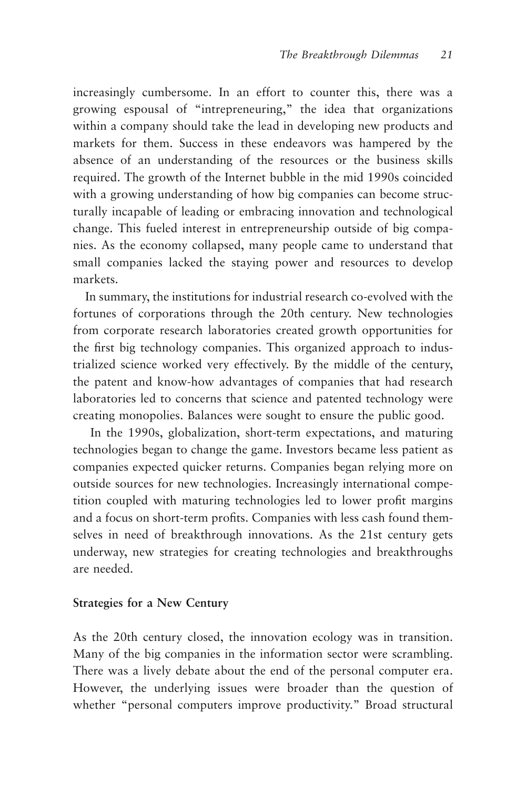increasingly cumbersome. In an effort to counter this, there was a growing espousal of "intrepreneuring," the idea that organizations within a company should take the lead in developing new products and markets for them. Success in these endeavors was hampered by the absence of an understanding of the resources or the business skills required. The growth of the Internet bubble in the mid 1990s coincided with a growing understanding of how big companies can become structurally incapable of leading or embracing innovation and technological change. This fueled interest in entrepreneurship outside of big companies. As the economy collapsed, many people came to understand that small companies lacked the staying power and resources to develop markets.

In summary, the institutions for industrial research co-evolved with the fortunes of corporations through the 20th century. New technologies from corporate research laboratories created growth opportunities for the first big technology companies. This organized approach to industrialized science worked very effectively. By the middle of the century, the patent and know-how advantages of companies that had research laboratories led to concerns that science and patented technology were creating monopolies. Balances were sought to ensure the public good.

In the 1990s, globalization, short-term expectations, and maturing technologies began to change the game. Investors became less patient as companies expected quicker returns. Companies began relying more on outside sources for new technologies. Increasingly international competition coupled with maturing technologies led to lower profit margins and a focus on short-term profits. Companies with less cash found themselves in need of breakthrough innovations. As the 21st century gets underway, new strategies for creating technologies and breakthroughs are needed.

# **Strategies for a New Century**

As the 20th century closed, the innovation ecology was in transition. Many of the big companies in the information sector were scrambling. There was a lively debate about the end of the personal computer era. However, the underlying issues were broader than the question of whether "personal computers improve productivity." Broad structural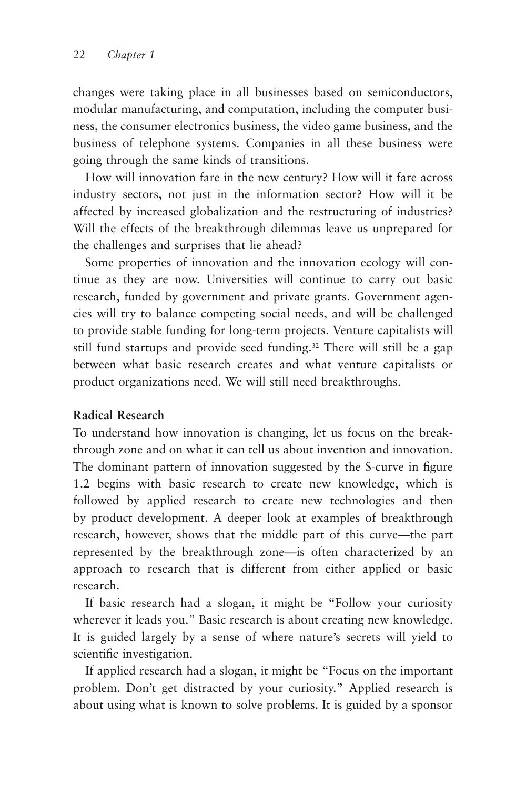changes were taking place in all businesses based on semiconductors, modular manufacturing, and computation, including the computer business, the consumer electronics business, the video game business, and the business of telephone systems. Companies in all these business were going through the same kinds of transitions.

How will innovation fare in the new century? How will it fare across industry sectors, not just in the information sector? How will it be affected by increased globalization and the restructuring of industries? Will the effects of the breakthrough dilemmas leave us unprepared for the challenges and surprises that lie ahead?

Some properties of innovation and the innovation ecology will continue as they are now. Universities will continue to carry out basic research, funded by government and private grants. Government agencies will try to balance competing social needs, and will be challenged to provide stable funding for long-term projects. Venture capitalists will still fund startups and provide seed funding.<sup>32</sup> There will still be a gap between what basic research creates and what venture capitalists or product organizations need. We will still need breakthroughs.

## **Radical Research**

To understand how innovation is changing, let us focus on the breakthrough zone and on what it can tell us about invention and innovation. The dominant pattern of innovation suggested by the S-curve in figure 1.2 begins with basic research to create new knowledge, which is followed by applied research to create new technologies and then by product development. A deeper look at examples of breakthrough research, however, shows that the middle part of this curve—the part represented by the breakthrough zone—is often characterized by an approach to research that is different from either applied or basic research.

If basic research had a slogan, it might be "Follow your curiosity wherever it leads you." Basic research is about creating new knowledge. It is guided largely by a sense of where nature's secrets will yield to scientific investigation.

If applied research had a slogan, it might be "Focus on the important problem. Don't get distracted by your curiosity." Applied research is about using what is known to solve problems. It is guided by a sponsor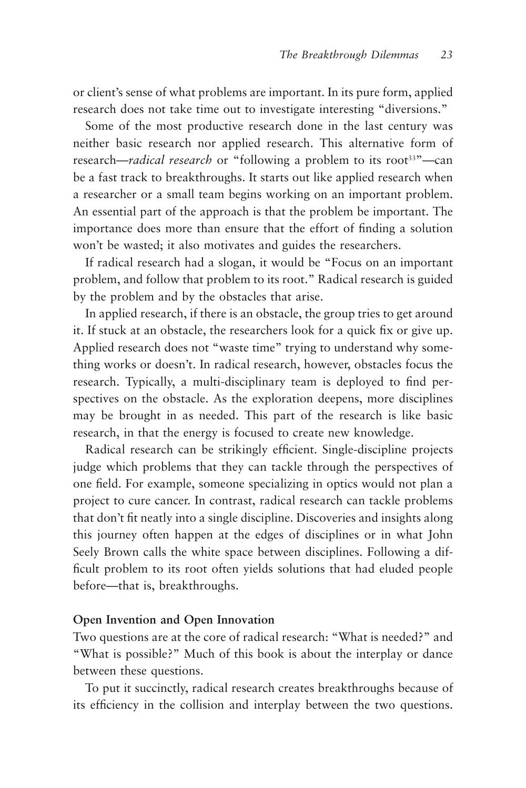or client's sense of what problems are important. In its pure form, applied research does not take time out to investigate interesting "diversions."

Some of the most productive research done in the last century was neither basic research nor applied research. This alternative form of research—*radical research* or "following a problem to its root<sup>33"</sup>—can be a fast track to breakthroughs. It starts out like applied research when a researcher or a small team begins working on an important problem. An essential part of the approach is that the problem be important. The importance does more than ensure that the effort of finding a solution won't be wasted; it also motivates and guides the researchers.

If radical research had a slogan, it would be "Focus on an important problem, and follow that problem to its root." Radical research is guided by the problem and by the obstacles that arise.

In applied research, if there is an obstacle, the group tries to get around it. If stuck at an obstacle, the researchers look for a quick fix or give up. Applied research does not "waste time" trying to understand why something works or doesn't. In radical research, however, obstacles focus the research. Typically, a multi-disciplinary team is deployed to find perspectives on the obstacle. As the exploration deepens, more disciplines may be brought in as needed. This part of the research is like basic research, in that the energy is focused to create new knowledge.

Radical research can be strikingly efficient. Single-discipline projects judge which problems that they can tackle through the perspectives of one field. For example, someone specializing in optics would not plan a project to cure cancer. In contrast, radical research can tackle problems that don't fit neatly into a single discipline. Discoveries and insights along this journey often happen at the edges of disciplines or in what John Seely Brown calls the white space between disciplines. Following a difficult problem to its root often yields solutions that had eluded people before—that is, breakthroughs.

## **Open Invention and Open Innovation**

Two questions are at the core of radical research: "What is needed?" and "What is possible?" Much of this book is about the interplay or dance between these questions.

To put it succinctly, radical research creates breakthroughs because of its efficiency in the collision and interplay between the two questions.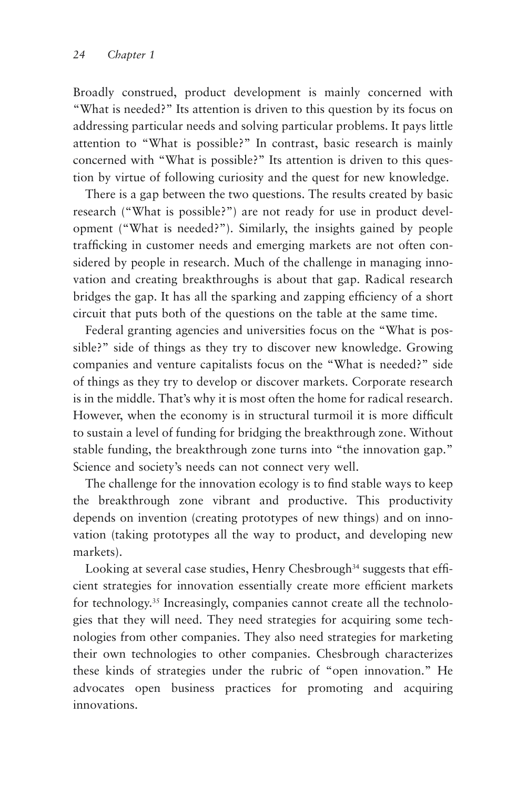Broadly construed, product development is mainly concerned with "What is needed?" Its attention is driven to this question by its focus on addressing particular needs and solving particular problems. It pays little attention to "What is possible?" In contrast, basic research is mainly concerned with "What is possible?" Its attention is driven to this question by virtue of following curiosity and the quest for new knowledge.

There is a gap between the two questions. The results created by basic research ("What is possible?") are not ready for use in product development ("What is needed?"). Similarly, the insights gained by people trafficking in customer needs and emerging markets are not often considered by people in research. Much of the challenge in managing innovation and creating breakthroughs is about that gap. Radical research bridges the gap. It has all the sparking and zapping efficiency of a short circuit that puts both of the questions on the table at the same time.

Federal granting agencies and universities focus on the "What is possible?" side of things as they try to discover new knowledge. Growing companies and venture capitalists focus on the "What is needed?" side of things as they try to develop or discover markets. Corporate research is in the middle. That's why it is most often the home for radical research. However, when the economy is in structural turmoil it is more difficult to sustain a level of funding for bridging the breakthrough zone. Without stable funding, the breakthrough zone turns into "the innovation gap." Science and society's needs can not connect very well.

The challenge for the innovation ecology is to find stable ways to keep the breakthrough zone vibrant and productive. This productivity depends on invention (creating prototypes of new things) and on innovation (taking prototypes all the way to product, and developing new markets).

Looking at several case studies, Henry Chesbrough<sup>34</sup> suggests that efficient strategies for innovation essentially create more efficient markets for technology.35 Increasingly, companies cannot create all the technologies that they will need. They need strategies for acquiring some technologies from other companies. They also need strategies for marketing their own technologies to other companies. Chesbrough characterizes these kinds of strategies under the rubric of "open innovation." He advocates open business practices for promoting and acquiring innovations.